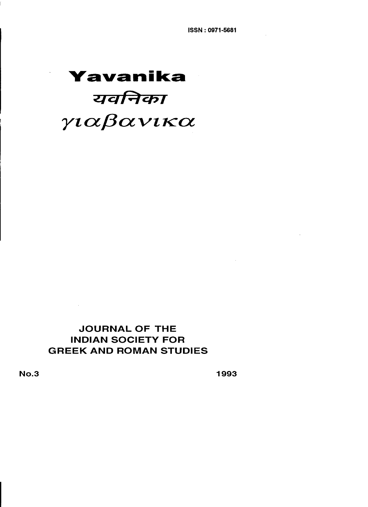# **Yavanika** यवनिका γιαβανικα

# **JOURNAL OF THE INOIAN SOCIETV FOR GREEK ANO ROMAN STUOIES**

No.3 1993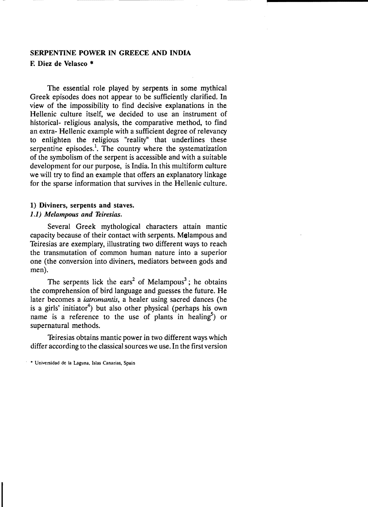## SERPENTINE POWER IN GREECE AND INDIA F. Diez de Velasco \*

The essential role played by serpents in some mythical Greek episodes does not appear to be sufficiently clarified. In view of the impossibility to find decisive explanations in the Hellenic culture itself, we decided to use an instrument of historical- religious analysis, the comparative method, to find an extra- Hellenic example with a sufficient degree of relevancy to enlighten the religious "reality" that underlines these serpentine episodes.<sup>1</sup>. The country where the systematization of the symbolism of the serpent is accessible and with a suitable development for our purpose, is India. In this multiform culture we will try to find an example that offers an explanatory linkage for the sparse information that survives in the Hellenic culture.

## 1) Diviners, serpents and staves. *1.1) Melampous and Teiresias.*

Several Greek mythological characters attain mantic capacity because of their contact with serpents. Melampous and Teiresias are exemplary, illustrating two different ways to reach the transmutation of common human nature into a superior one (the conversion into diviners, mediators between gods and men).

The serpents lick the ears<sup>2</sup> of Melampous<sup>3</sup>; he obtains the comprehension of bird language and guesses the future. He later becomes a *iatromantis,* a healer using sacred dances (he is a girls' initiator<sup>4</sup>) but also other physical (perhaps his own name is a reference to the use of plants in healing<sup>5</sup>) or supernatural methods.

Teiresias obtains mantic power in two different ways which differ according to the classical sources we use. In the first version

<sup>•</sup> Universidad de la Laguna, Islas Canarias, Spain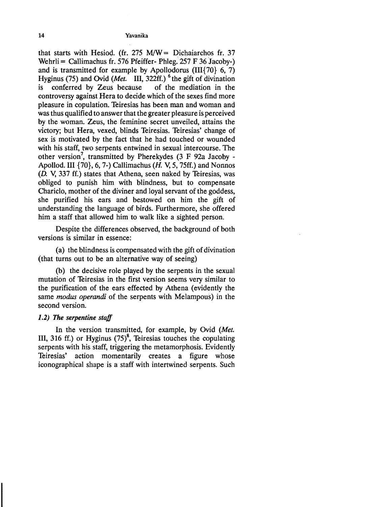that starts with Hesiod. (fr. 275 M/W = Dichaiarchos fr. 37 Wehrli = Callimachus fr. 576 Pfeiffer- Phleg.  $257 F 36$  Jacoby-) and is transmitted for example by Apollodorus (III $\{70\}$  6, 7) Hyginus (75) and Ovid (Met. III, 322ff.) <sup>6</sup> the gift of divination<br>is conferred by Zeus because of the mediation in the is conferred by Zeus because controversy against Hera to decide which of the sexes find more pleasure in copulation. Teiresias has been man and woman and was thus qualified to answer that the greater pleasure is perceived by the woman. Zeus, the feminine secret unveiled, attains the victory; but Hera, vexed, blinds Teiresias. Teiresias' change of sex is motivated by the fact that he had touched or wounded with his staff, two serpents entwined in sexual intercourse. The other version<sup>7</sup>, transmitted by Pherekydes  $(3 \text{ F } 92a \text{ Jacoby -}$ Apollod. III  $\{70\}$ , 6, 7-) Callimachus (*H.* V, 5, 75ff.) and Nonnos  $(D. V, 337 \text{ ff.})$  states that Athena, seen naked by Teiresias, was obliged to punish him with blindness, but to compensate Chariclo, mother of the diviner and loyal servant of the goddess, she purified his ears and bestowed on him the gift of understanding the language of birds. Furthermore, she offered him a staff that allowed him to walk like a sighted person.

Despite the differences observed, the background of both versions is similar in essence:

(a) the blindness is compensated with the gift of divination (that turns out to be an alternative way of seeing)

(b) the decisive role played by the serpents in the sexual mutation of Teiresias in the first version seems very similar to the purification of the ears effected by Athena (evidently the same *modus operandi* of the serpents with Melampous) in the second version.

## 1.2) The *serpentine staff*

In the version transmitted, for example, by Ovid *(Met.*  III, 316 ff.) or Hyginus  $(75)^8$ , Teiresias touches the copulating serpents with his staff, triggering the metamorphosis. EvidentIy Teiresias' action momentarily creates a figure whose iconographical shape is a staff with intertwined serpents. Such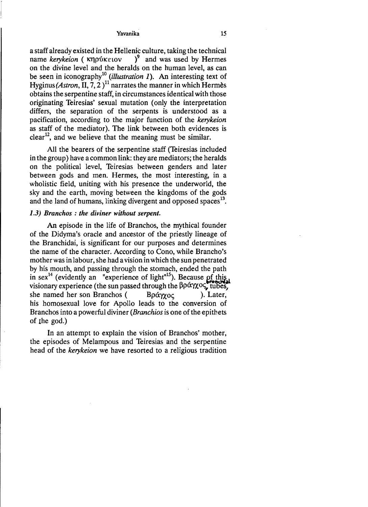a staff already existed in the Hellenic culture, taking the technical name kerykeion (κηρύκειον )<sup>9</sup> and was used by Hermes on the divine level and the heralds on the human level, as can be seen in iconography<sup>10</sup> (*illustration 1*). An interesting text of *Hyginus (Astron, II, 7, 2)*<sup>11</sup> narrates the manner in which Hermes obtains the serpentine staff, in circumstances identical with those originating Teiresias' sexual mutation (only the interpretation differs, the separation of the serpents is understood as a pacification, according to the major function of the *kerykeion*  as staff of the mediator). The link between both evidences is clear<sup>12</sup>, and we believe that the meaning must be similar.

All the bearers of the serpentine staff (Teiresias included in the group) have a common link: they are mediators; the heralds on the polítical level, Teiresias between genders and later between gods and men. Hermes, the most interesting, in a wholistic field, uniting with his presence the underworld, the sky and the earth, moving between the kingdoms of the gods and the land of humans, linking divergent and opposed spaces $^{13}$ .

## *1.3) Branchos* : *the diviner without serpent.*

An episode in the life of Branchos, the rnythical founder of the Didyma's oracle and ancestor of the priestly lineage of the Branchidai, is significant for our purposes and determines the name of the character. According to Cono, while Brancho's motherwas in labour, she had a vision in which the sun penetrated by his mouth, and passing through the stomach, ended the path in sex<sup>14</sup> (evidently an "experience of light"<sup>15</sup>). Because of this visionary experience (the sun passed through the  $\beta \rho \alpha \gamma \alpha \zeta$ , tubes, she named her son Branchos (B $\rho \hat{\alpha} \gamma \gamma_{\text{OC}}$ ). Later, his homosexual love for Apollo leads to the conversion of Branchos into a powerful diviner *(Branchios* is one of the epithets of the god.)

In an attempt to explain the vision of Branchos' mother, the episodes of Melampous and Teiresias and the serpentine head of the *kerykeion* we have resorted to a religious tradition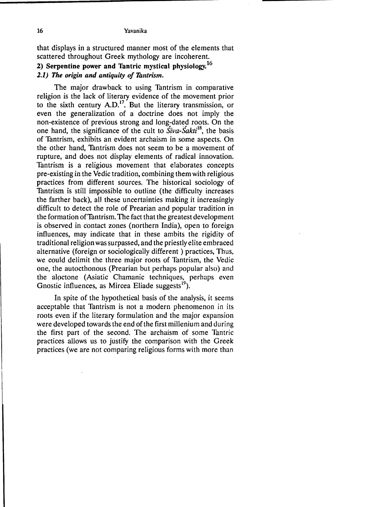that displays in a structured manner most of the elements that scattered throughout Greek mythology are incoherent. 2) Serpentine power and Tantric mystical physiology.<sup>16</sup> *2.1)* The origin and antiquity of Tantrism.

The major drawback to using Tantrism in comparative religion is the lack of literary evidence of the movement prior to the sixth century  $A.D.<sup>17</sup>$ . But the literary transmission, or even the generalization of a doctrine does not imply the non-existence of previous strong and long-dated roots. On the one hand, the significance of the cult to *Siva-Sakti*18, the basis of Tantrism, exhibits an evident archaism in some aspects. On the other hand, Tantrism does not seem to be a movement of rupture, and does not display elements of radical innovation. Tantrism is a religious movement that elaborates concepts pre-existing in the Vedic tradition, combining them with religious practices from different sources. The historical sociology of Tantrism is still impossible to outline (the difficulty increases the farther back), all these uncertainties making it increasingly difficult to detect the role of Prearian and popular tradition in the formation ofTantrism. The fact that the greatest development is observed in contact zones (northern India), open to foreign influences, may indicate that in these ambits the rigidity of traditional religion was surpassed, and the priestly elite embraced alternative (foreign or sociologically different ) practices, Thus, we could delimit the three major roots of Tantrism, the Vedic one, the autocthonous (Prearian but perhaps popular also) and the alpctone (Asiatic Chamanic techniques, perhaps even Gnostic influences, as Mircea Eliade suggests $^{19}$ ).

In spite of the hypothetical basis of the analysis, it seems acceptable that Tantrism is not a modern phenomenon in its roots even if the literary formulatíon and the major expansion were developed towards the end of the first millenium and during the fírst part of the second. The archaism of sorne Tantric practices allows us to justify the comparison with the Greek practices (we are not comparing religious forms with more than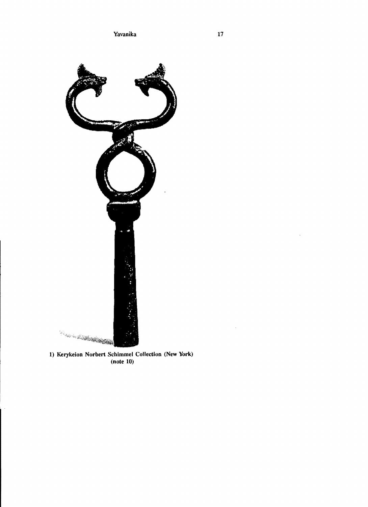

1) Kerykeion Norbert Schimmel Collection (New York) (note 10)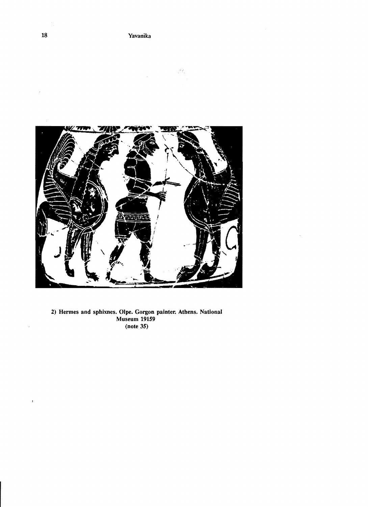

2) Hermes and sphixnes. Olpe. Gorgon painter. Athens. National Museum 19159 (note 35)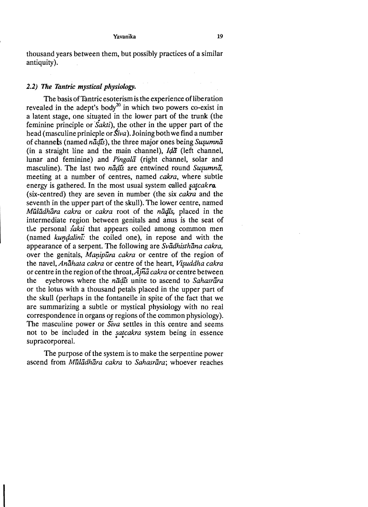thousand years between them, but possibIy practices oí a similar antiquity).

## *2.2) The Tantric mystical physiology.*

not to be included in the *satcakra* system being in essence The basis of Tantric esoterism is the experience of liberation revealed in the adept's body<sup>20</sup> in which two powers co-exist in a latent stage, one situated in the lower part oí the trunk (the feminine principle or *Sakti*), the other in the upper part of the head (masculine prinicple or *Siva*). Joining both we find a number oí channels (named ná4is), the three major ones being *Sw¿umna*  (in a straight line and the main channel),  $Id\bar{a}$  (left channel, lunar and feminine) and *Pingala* (right channel, solar and masculine). The last two *nādīs* are entwined round *Susumnā*. meeting at a number of centres, named *cakra*, where subtle energy is gathered. In the most usual system called *satcakra*. (six-centred) they are seven in number (the six *cakra* and the seventh in the upper part of the skull). The lower centre, named *Mūlādhāra cakra* or *cakra* root of the *nādīs*, placed in the intermediate region between genitals and anus is the seat of the personal *sakti* that appears coiled among common men (named *kundalini*: the coiled one), in repose and with the appearance oí a serpent. The following are *Svéidhisthána cakra,*  over the genitals, *Manipūra cakra* or centre of the region of the navel, *Anahata cakra* or centre of the heart, *VlSuddha cakra*  or centre in the region of the throat,  $\overline{A}$ *iña cakra* or centre between the eyebrows where the *ná4is* unite to ascend to *Sahasrára*  or the lotus with a thousand petals placed in the upper part of the skull (perhaps in the íontanelle in spite oí the fact that we are surnmarizing a subtle or mysticaI physiology with no real correspondence in organs or regions of the common physiology). The masculine power or *Siva* settles in this centre and seems supracorporeal.

The purpose of the system is to make the serpentine power ascend from *MüZadhára cakra* to *Sahasrara;* whoever reaches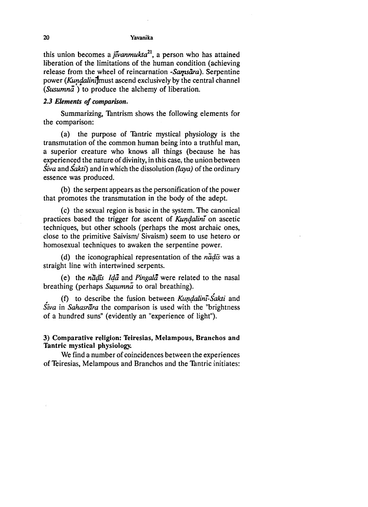this union becomes a *jivanmukta21,* a person who has attained Iiberation of the limitations of the human condition (achieving release from the wheel of reincarnation *-Sarpsara).* Serpentine power (Kundalini<sup>1</sup>must ascend exclusively by the central channel *(Susumna* ) to produce the alchemy of liberation.

## *2.3 Elemenls 01 comparison.*

Summarizing, Tantrism shows the following elements for the comparison:

(a) the purpose of Tantric mystical physiology is the transmutation of the common human being into a truthful man, a superior creature who knows all things (because he has experienced the nature of divinity, in this case, the union between *Siva* and *Sakti)* and in which the dissolution *(laya)* of the ordinary essence was produced.

(b) the serpent appears as the personification of the power that promotes the transmutation in the body of the adept.

(c) the sexual region is basic in the system. The canonical practices based the trigger for ascent of *Kundalini* on ascetic techniques, but other schools (perhaps the most archaic ones, close to the primitive Saivism/ Sivaism) seem to use hetero or homosexual techniques to awaken the serpentine power.

(d) the iconographical representation of the *nadis* was a straight line with intertwined serpents.

(e) the *nadis Ida* and *Pingala* were related to the nasal breathing (perhaps *Susumna* to oral breathing).<br>(f) to describe the fusion between *Kundalini-Sakti* and

*Siva* in *Sahasrara* the comparison is used with the "brightness of a hundred suns" (evidentIy an "experience of light").

## 3) Comparative religion: Teiresias, Melampous, Branchos and Tantric mystical physiology.

We find a number of coincidences between the experiences of Teiresias, Melampous and Branchos and the Tantric initiates: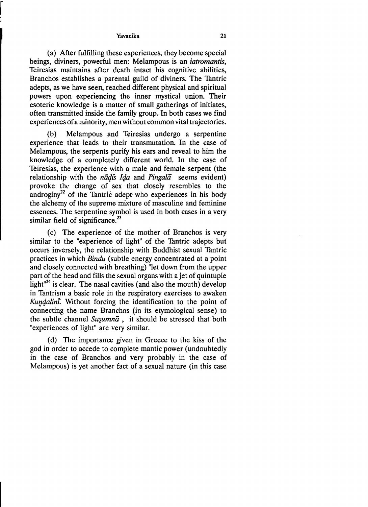(a) After fulfilling these experiences, they become special beings, diviners, powerful men: Melampous is an *iatromantis,*  Teiresias maintains after death intact his cognitive abilities, Branchos establishes a parental guild of diviners. The Tantric adepts, as we have seen, reached different physical and spiritual powers upon experiencing the inner mystical union. Their esoteric knowledge is a matter of small gatherings of initiates, often transmitted inside the family group. In both cases we find experiences of a minority, men without common vital trajectories.

(b) Melampous and Teiresias undergo a serpentine experience that leads to their transmutation. In the case of Melampous, the serpents purify his ears and reveal to him the knowledge of a completely different world. In the case of Teiresias, the experience with a male and female serpent (the relationship with the *nādis Ida* and *Pingala* seems evident) provoke the change of sex that closely resembles to the androginy<sup>22</sup> of the Tantric adept who experiences in his body the alchemy of the supreme mixture of masculine and feminine essences. The serpentine symbol is used in both cases in a very similar field of significance.<sup>23</sup>

(c) The experience of the mother of Branchos is very similar to the "experience of light" of the Tantric adepts but occurs inversely, the relationship with Buddhist sexual Tantric practices in which *Bindu* (subtle energy concentrated at a point and closely connected with breathing) "let down from the upper part of the head and fills the sexual organs with a jet of quintuple light $n^{24}$  is clear. The nasal cavities (and also the mouth) develop in Tantrism a basic role in the respiratory exercises to awaken Kundalini. Without forcing the identification to the point of connecting the name Branchos (in its etymological sense) to the subtle channel *Susumna*, it should be stressed that both "experiences of light" are very similar.

(d) The importance given in Greece to the kiss of the god in order to accede to complete mantic power (undoubtedly in the case of Branchos and very probably in the case of Melampous) is yet another fact of a sexual nature (in this case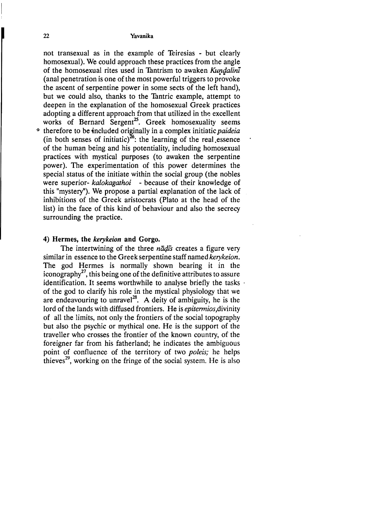not transexual as in the example of Teiresias - but clearIy homosexual). We could approach these practices from the angle of the homosexual rites used in Tantrism to awaken *Kundalini* (anal penetration is one of the most powerful triggers to provoke the ascent of serpentine power in some sects of the left hand), but we could also, thanks to the Tantric example, attempt to deepen in the explanation of the homosexual Greek practices adopting a different approach from that utilized in the excellent works of Bernard Sergent<sup>25</sup>. Greek homosexuality seems \* therefore to be included originally in a complex initiatic *paideia*  $(in both senses of initiative)<sup>26</sup>: the learning of the real essence$ of the human being and his potentiality, including homosexual practices with mystical purposes (to awaken the serpentine power). The experimentation of this power determines the special status of the initiate within the social group (the nobles were superior- *kalokagathoi* - because of their knowledge of this "mystery"). We propose a partial explanation of the lack of inhibitions of the Greek aristocrats (Plato at the head of the list) in the face of this kind of behaviour and also the secrecy surrounding the practice.

## 4) Hermes, tbe *kerykeion* and Gorgo.

The intertwining of the three *nadis* creates a figure very similar in essence to the Greek serpentine staff named *kerykeion.*  The god Hermes is normally shown bearing it in the iconography<sup>27</sup>, this being one of the definitive attributes to assure identification. It seems worthwhile to analyse briefly the tasks . of the god to clarify his role in the mystical physiology that we are endeavouring to unravel<sup>28</sup>. A deity of ambiguity, he is the lord of the lands with diffused frontiers. He is *epitermios*, divinity of a11 the limits, not only the frontiers of the social topography but also the psychic or mythical one. He is the support of the traveller who crosses the frontier of the known country, of the foreigner far from his fatherland; he indicates the ambiguous point of confluence of the territory of two *poleis*; he helps thieves $^{29}$ , working on the fringe of the social system. He is also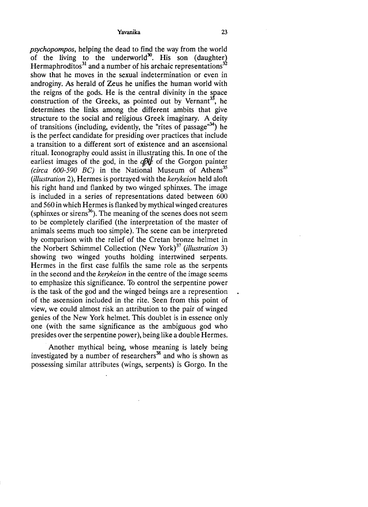*psychopompos,* helping the dead to find the way from the world of the living to the underworld<sup>30</sup>. His son (daughter) Hermaphroditos<sup>31</sup> and a number of his archaic representations<sup>32</sup> show that he moves in the sexual indetermination or even in androginy. As herald of Zeus he unifies the human world with the reigns of the gods. He is the central divinity in the space construction of the Greeks, as pointed out by Vernant<sup>35</sup>, he determines the links among the different ambits that give structure to the social and religious Greek imaginary. A deity of transitions (including, evidently, the "rites of passage"<sup>34</sup>) he is the perfect candidate for presiding over practices that include a transition to a different sort of existence and an ascensional ritual. Iconography could assist in illustrating this. **In** one of the earliest images of the god, in the  $q\partial\mathcal{U}$  of the Gorgon painter *(circa 600-590 BC)* in the National Museum of Athens<sup>35</sup> *(illustration* 2), Hermes is portrayed with the *kerykeion* heId aloft his right hand and flanked by two winged sphinxes. The image is included in a series of representations dated between 600 and 560 in which Hermes is flanked by mythical winged creatures (sphinxes or sirens $^{36}$ ). The meaning of the scenes does not seem to be completely clarified (the interpretation of the master of animals seems much too simple). The scene can be interpreted by comparison with the relief of the Cretan bronze helmet in the Norbert Schimmel Collection (New York)37 *(illustration 3)*  showing two winged youths holding intertwined serpents. Hermes in the first case fulfils the same role as the serpents in the second and the *kerykeion* in the centre of the image seems to emphasize this significance. To control the serpentine power is the task of the god and the winged beings are a represention of the ascension included in the rite. Seen from this point of view, we could almost risk an attribution to the pair of winged genies of the New York helmet. This doublet is in essence only one (with the same significance as the ambiguous god who presides over the serpentine power), being like a double Hermes.

Another mythical being, whose meaning is lately being investigated by a number of researchers<sup>38</sup> and who is shown as possessing similar attributes (wings, serpents) is Gorgo. **In** the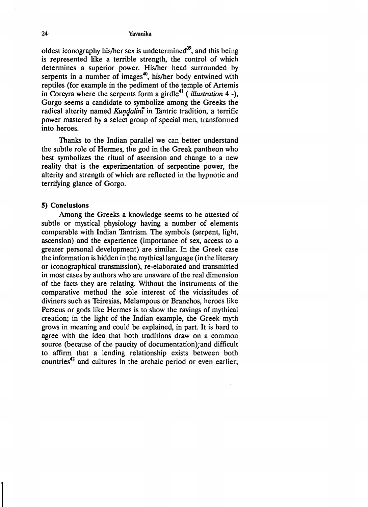oldest iconography his/her sex is undetermined $39$ , and this being is represented like a terrible strength, the control of which determines a superior power. His/her head surrounded by serpents in a number of images<sup>40</sup>, his/her body entwined with reptiles (for example in the pediment of the temple of Artemis in Corcyra where the serpents form a girdle<sup>41</sup> (*illustration* 4 -), Gorgo seems a candidate to symbolize among the Greeks the radical alterity named *Kundalini* in Tantric tradition, a terrific power mastered by a select group of special men, transformed into heroes.

Thanks to the Indian parallel we can better understand the subtle role of Hermes, the god in the Greek pantheon who best symbolizes the ritual of ascension and change to a new reality that is the experimentation of serpentine power, the alterity and strength of which are reflected in the hypnotic and terrifying glance of Gorgo.

## *S)* Conclusions

Among the Greeks a knowledge seems to be attested of subtle or mystical physiology having a number of elements comparable with Indian Tantrism. The symbols (serpent, light, ascension) and the experience (importance of sex, access to a greater personal development) are similar. In the Greek case the information is hidden in the mythicallanguage (in the literary or iconographical transmission), re-elaborated and transmitted in most cases by authors who are unaware of the real dimension of the facts they are relating. Without the instruments of the comparative method the sole interest of the vicissitudes of diviners such as Teiresias, Melampous or Branchos, heroes like Perseus or gods like Hermes is to show the ravings of mythical creation; in the light of the Indian example, the Greek myth grows in meaning and could be explained, in part. It is hard to agree with the idea that both traditions draw on a common source (because of the paucity of documentation);and difficult to affirm that a lending relationship exists between both countries<sup>42</sup> and cultures in the archaic period or even earlier;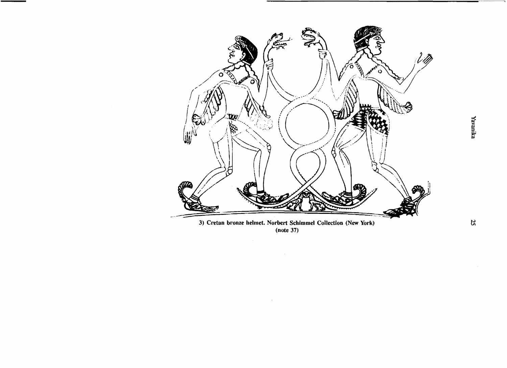

<sup>(</sup>note 37)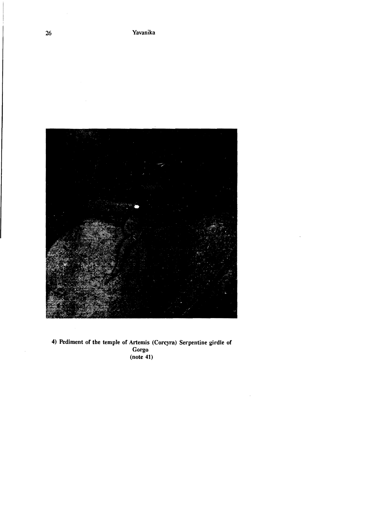

4) Pediment of the temple of Artemis (Corcyra) Serpentine girdle of Gorgo  $(note 41)$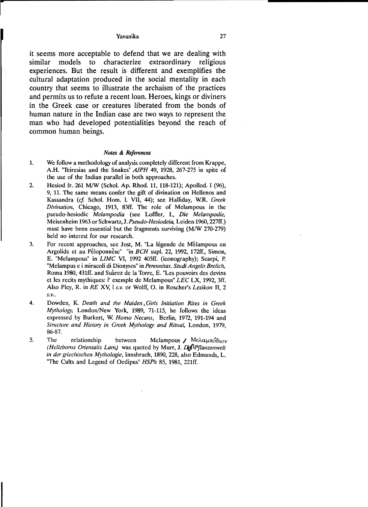it seems more acceptable to defend that we are dealing with similar models to characterize extraordinary religious experiences. But the result is different and exemplifies the cultural adaptation produced in the social mentality in each country that seems to illustrate the archaism of the practices and permits us to refute a recent loan. Heroes, kings or diviners in the Greek case or creatures liberated from the bonds of human nature in the Indian case are two ways to represent the man who had developed potentialities beyond the reach of common human beings.

## *Notes* & *References*

- 1. We follow a methodology of analysis completely different from Krappe, A.H. "Teiresias and the Snakes" *AJPH* 49, 1928, 267-275 in spite of the use of the Indian parallel in both approaches.
- 2. Hesiod fr. 261 M/W (Schol. Ap. Rhod. 11, 118-121); Apollod. I (96), 9, 11. The same means confer the gift of divination on Hellenos and Kassandra *(cf.* Schol. Hom. 1. VII, 44); see Halliday, w.R. *Greek Divinalion,* Chicago, 1913, 83ff. The role of Melampous in the pseudo-hesiodic *Melampodia* (see Loffler, l., *Die Melampodie,*  Meisenheim 1963 or *Schwartz,J.Pseudo-Hesiodeia,* Leiden 1960, 227ff.) must have been essential but the fragments surviving (M/W 270-279) held no interest for our research.
- 3. For recent approaches, see Jost, M. "La légende de Mélampous en Argolide et au Péloponnese" "in *BCH* supl. 22, 1992, 172ff., Simon, E. "Melampous" in *LIMC* VI, 1992 405ff. (iconography); Scarpi, P. "Melampus e i miracoli di Dionysos" in *Perennilas. Studi Angelo Brelic/¡,*  Roma 1980, 431ff. and Suárez de la Torre, E. "Les pouvoirs des devins et les recits mythiques: l' exemple de Melampous" *LEC* LX, 1992, 3ff. AIso Pley, R. in *RE* Xv, l *S.v.* or Wolff, O. in Roscher's *Lexikon* 11, 2 *S.v..*
- 4. Dowden, K. *Dealh and lhe Maiden. Girls Inilialion Riles in Greek Mythology,* London/New York, 1989, 71-115, he follows the ideas expressed by Burkert, W. *Homo Necans,* Berlín, 1972, 191-194 and *Stnlctllre and HislOry in Greek Mythology and Ritual,* London, 1979, 86-87.
- 5. The relationship between Melampous Me $\lambda$  Me $\lambda$ αμπόδιον *(Hellebonus Orientalis Lam.)* was quoted by Murr, *J. DefiPflanzenwelt in der gliechischen Mylhologie,* Innsbruch, 1890, 228, also Edmunds, L. "The Cults and Legend of Oedipus" *HSPh* 85, 1981, 221ff.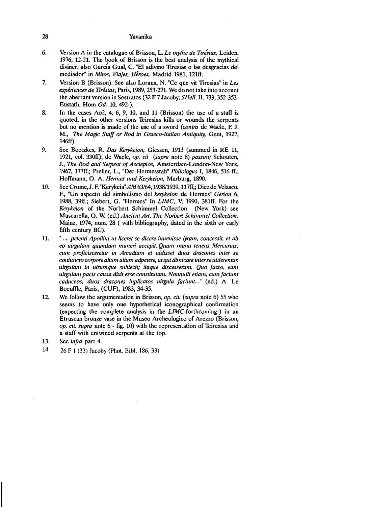- 6. Version A in tbe catalogue of Brisson, L. *Le mythe de Tirésias,* Leiden, 1976, 12-21. The book of Brisson is the best analysis of the mythical diviner, also GarcÍa Gual, C. "El adivino Tiresias o las desgracias del mediador" in *Mitos, Viajes, Héroes,* Madrid 1981, 121ft.
- 7. Version B (Brisson). See aIoo Loraux, N. "Ce que vit Tiresias" in *Les expénences de Tirésias,* Paris, 1989,253-271. We do not take into account tbe aberrant version in Sostratos (32 F 7 Jacoby; *SHe//.* n. 733,352-353 Eustath. Hom *Od.* 10, 492-).
- 8. In the cases Ao2, 4, 6, 9, 10, and 11 (Brisson) the use of a staff is quoted, in the other versions Teiresias kills or wounds the serpents but no mention is made of tbe use of a sword *(contra* de Waele, F. J. M., *The Magic Staff or Rod in Graeco-Italian Antiquity, Gent, 1927,* 146ft).
- 9. See Boetzkes, R. *Das Kerykeion,* Giessen, 1913 (summed in RE 11, 1921, col. 330ft); de Waele, *op. elt (sllpra* note 8) *passim;* Scbouten, J., *The Rod and Serpent of Asclepios*, Amsterdam-London-New York, 1967, 177ff,; Preller, L., "Der Hermesstab" *Philologus I*, 1846, 516 ff.; Hoffmann, O. A. *Hermes und Kerykeion*, Marburg, 1890.
- 10. See Crome,J. F. "Kerykeia"*AM*63/64, 1938/1939, 117ff,; Diez de VeIasco, F., "Un aspecto del simbolismo del *kerykeion* de Hermes" *Gerion* 6, 1988, 39ff.; Siebert, G. "Hermes" In *LIMC,* V, 1990, 381ff. For the *Kerykeion* of the Norbert Schimmel Collection (New York) see Muscarella, O. W. (ed.) *Ancient Art. The Norbert Schimmel Collection*, Mainz, 1974, num. 28 ( with bibliography, dated in the sixth or early fifth century BC).
- 11. " .... *petenti Apollini ut liceret se dicere inuenisse lyram, concessit, et ab eo llirgu/om quandam munen occepit. Quom monll tenens Mercllnus, Cllm proficisceretur in Arcadiam et uidisset duos dracones inter se con;llncto corpore a/illm alillm adpetere, utqu; dimicare inter se lliderentlll; uirglllam in lltmmque sllbiecit; itaqlle discessenmt. Quo facto, eam uirgu/am pacis causa dixit esse constitutam. N01mu/li etiam, Cllm facilmt caduceos, duos dracones inplicatos llirgu/a facilmt ..."* (ed.) A. Le Boeuffle, Paris, (CUF), 1983, 34-35.
- 12. We follow tbe argumentation in Brisson,op. *cit. (supra* note 6) 55 who seems to bave only one bypotbetical iconograpbical confirmation (expecting tbe complete analysis in the LIMC-fortbcoming-) in an Etruscan bronze vase in the Museo Archeologico of Arezzo (Brisson, *op. cit. supra* note 6 - fig. 10) witb tbe representation of Teiresias and a staff with entwined serpents at the top.
- 13. See *infra* part 4.
- 14 26 F 1 (33) Jacoby (Phot. Bibl. 186, 33)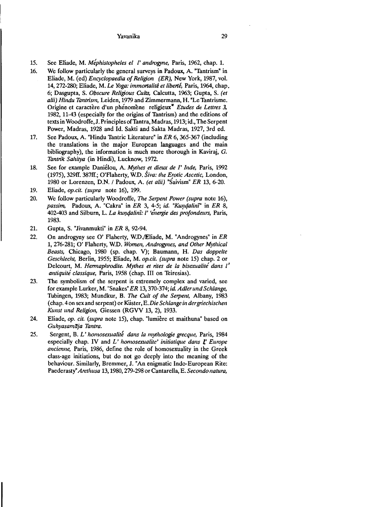- 15. See Eliade, M. *Méphistopheles el l'androgyne*, Paris, 1962, chap. 1.
- 16. We follow particularly the general surveys in Padoux, A. "Tantrism" in Eliade, M. (ed) *Encyclopaedia of Religion (ER),* New York, 1987, vol. 14, 272-280; Eliade, M. *Le Yoga: immortalité et liberté*, Paris, 1964, chap. 6; Dasgupta, S. *Obseure Religious Cults,* Calcutta, 1963; Gupta, S. *(et alii) Hindu Tantrism, Leiden, 1979 and Zimmermann, H. "Le Tantrisme.* Origine et caractère d'un phénomène religieux<sup>"</sup> *Etudes de Lettres 3*, 1982, 11-43 (especially for the origins of Tantrism) and the editions of texts in Woodroffe, J. Principles of Tantra, Madras, 1913; id., The Serpent Power, Madras, 1928 and Id. Sakti and Sakta Madras, 1927, 3rd ed.
- 17. See Padoux, A. "Hindu Tantric Literature" in *ER* 6, 365-367 (including the translations in the major European languages and the main bibliography), the information is much more thorough in Kaviraj,  $G$ . *Talltn'k Sahitya* (in Hindi), Lucknow, 1972.
- 18. See for example Daniélou, A. *Mythes et dieux de l' Inde*, Paris, 1992 (1975), 329ff. 387ff.; O'Flaherty, W.D. *Śiva: the Erotic Ascetic*, London, (1975), 329ff. 387ff.; O'Flaherty, W.D. *Siva: tlle Erotic Aseetie,* London, , 1980 or Lorenzen, D.N. / Padoux, A. *(et a/ií)* "Saivism" *ER* 13, 6-20.
- 19. Eliade, *op.cit. (supra* note 16), 199.
- 20. We follow particularly Woodroffe, *The Serpent Power (supra* note 16), *passim,* Padoux, A. "Cakra" in *ER* 3, 4-5; *id. "Kundalini*" in *ER* 8, 402-403 and Silburn, L. *La ku1)4alilli: l' 'eí,ergie des profondeurs,* Paris, 1983.
- 21. Gupta, S. "Jivanmukti" in *ER* 8, 92-94.
- 22. On androgyny see O' Flaherty, W.D./Eliade, M. "Androgynes" in *ER*  1, 276-281; O' Flaherty, W.D. Women, Androgynes, and Other Mythical *Beasts, Chicago, 1980 (sp. chap. V); Baumann, H. Das doppelte Geschlecht, Berlin, 1955; Eliade, M. op.cit. (supra note 15)* chap. 2 or Delcourt, M. *Hermaphrodite. Mythes et rites de la bisexualité dans l' olltiquité elassique,* Paris, 1958 (chap. III on Teiresias).
- 23. The symbolism of the serpent is extremely complex and varied, see for example Lurker, M. "Snakes" *ER* 13, 370-374; *id. Adler und Schlange*, Tubingen, 1983; Mundkur, B. *The Cult of the Serpent*, Albany, 1983 (chap. 4 on sex and serpent) or Küster, E. Die Schlange in dergriechischen *Kunst und Religion, Giessen (RGVV 13, 2), 1933.*
- 24. Eliade, op. cit. (supra note 15), chap. "lumière et maithuna" based on Guhyasamāja Tantra.
- 25. Sergent, B. *L' homosexualité dans la mythologie greeque*, Paris, 1984 especially chap. IV and *L' homosexualite' initiatique dans L' Europe ancienne*, Paris, 1986, define the role of homosexuality in the Greek class-age initiations, but do not go deeply into the meaning of the behaviour. Similarly, Bremmer, J. "An enigmatic Indo-European Rite: Paederasty" Arethusa 13, 1980, 279-298 or Cantarella, E. *Secondo natura*,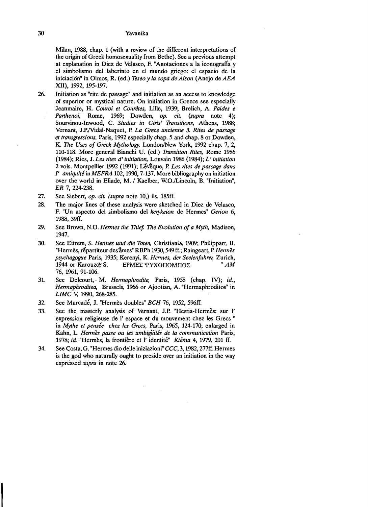Milan, 1988, chap. 1 (with a review of the different interpretations of the origin of Greek homosexuality from Bethe). See a previous attempt at explanation in Diez de Velasco, F. "Anotaciones a la iconografía y el simbolismo del laberinto en el mundo griego: el espació de la iniciación" in Olmos, R. (ed.) *Teseo y la copa de Aison* (Anejo de AEA XII), 1992, 195-197.

- 26. Initiation as "rite de passage" and inítiation as an access to knowledge of superior or mystical nature. On initiation in Greece see especially Jeanmaire, H. Couroi et Courètes, Lille, 1939; Brelich, A. Paides e *Parthenoi*, Rome, 1969; Dowden, *op. cit.* (supra note 4); Sourvinou-Inwood, C. *Studies in Girls' Transitions*, Athens, 1988; Vernant, J.P.Mdal-Naquet, P. *La Grece ancienne* 3. *Rites de passage et transgressions, Paris, 1992 especially chap. 5 and chap. 8 or Dowden,* K. The Uses of Greek Mythology, London/New York, 1992 chap. 7, 2, 110-118. More general Bianchi U. (ed.) *Transition Rites*, Rome 1986 (1984); Ries, J. *Les rites d' initiation*, Louvain 1986 (1984); *L' initiation* 2 vols. Montpellier 1992 (1991); Lévêque, P. *Les rites de passage dans* l' *antiquitéinMEFRA* 102, 1990,7-137. More bibliography on initiation over the world in Eliade, M. I Kaelber, W.O./Lincoln, B. "Initiation", *ER* 7, 224-238.
- 27. See Siebert, *op. cit. (supra* note lO,) ils. 185ff.
- 28. The major lines of these analysis were sketched in Diez de Velasco, F. "Un aspecto del simbolismo del *kerykeion* de Hermes" *Gerion 6,*  1988,.39ff.
- 29. See Brown, N.O. *Hennés tite 17liel 17le Evolution 01 a Myth,* Madison, 1947.
- 30. See Eitrem, S. *Hennes und die Toten,* Christiania, 1909; Philippart, B. "Hermes, répartiteur des âmes" RBPh 1930, 549 ff.; Raingeart, P. Hermes *psychagogue Paris, 1935; Kerenyi, K. Hermes, der Seelenfuhrer, Zurich, 1944 or Karouzov S. EPMED VYXOTIOMITOD*  $EPMEE$  ΨΥΧΟΠΟΜΠΟΣ 76, 1961, 91-106.
- 31. See Delcourt, M. *Hennaphrodite,* París, 1958 (chap. IV); *id., Hemtaplrroditea,* Brussels, 1966 or Ajootian, A. "Hermaphrodítos" in *LIMC* V, 1990, 268-285.
- 32. See Marcadé, J. "Hermès doubles" *BCH* 76, 1952, 596ff.
- 33. See the masterly analysis of Vernant, J.P. "Hestia-Hermes: sur l' expression religieuse de l' espace et du mouvement chez les Grecs " in *Mythe et pensée chez les Grecs*, Paris, 1965, 124-170; enlarged in Kahn, L. *Hermès passe ou les ambigiutés de la communication Paris*, 1978; id. "Hermes, la frontière et l' identité" *Ktéma* 4, 1979, 201 ff.
- 34. See Costa, G. "Hermes dio delle iniziazioni" *CCC,* 3, 1982, 277ff. Hermes is the god who naturalIy ought to preside over an initiation in the way expressed *supra* in note 26.